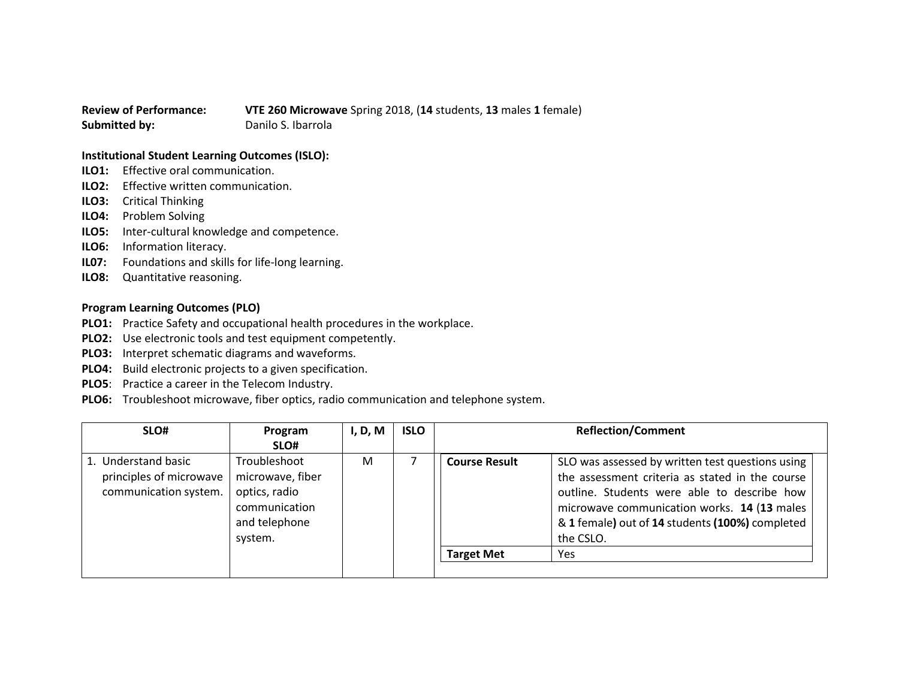## **Review of Performance: VTE 260 Microwave** Spring 2018, (**14** students, **13** males **1** female) **Submitted by:** Danilo S. Ibarrola

## **Institutional Student Learning Outcomes (ISLO):**

- **ILO1:** Effective oral communication.
- **ILO2:** Effective written communication.
- **ILO3:** Critical Thinking
- **ILO4:** Problem Solving
- **ILO5:** Inter-cultural knowledge and competence.
- **ILO6:** Information literacy.
- **IL07:** Foundations and skills for life-long learning.
- **ILO8:** Quantitative reasoning.

## **Program Learning Outcomes (PLO)**

- **PLO1:** Practice Safety and occupational health procedures in the workplace.
- **PLO2:** Use electronic tools and test equipment competently.
- **PLO3:** Interpret schematic diagrams and waveforms.
- **PLO4:** Build electronic projects to a given specification.
- **PLO5**: Practice a career in the Telecom Industry.
- **PLO6:** Troubleshoot microwave, fiber optics, radio communication and telephone system.

| 1. Understand basic<br>Troubleshoot<br>SLO was assessed by written test questions using<br>м<br><b>Course Result</b><br>principles of microwave<br>the assessment criteria as stated in the course<br>microwave, fiber<br>communication system.<br>optics, radio<br>outline. Students were able to describe how<br>communication<br>microwave communication works. 14 (13 males<br>and telephone<br>& 1 female) out of 14 students (100%) completed<br>system.<br>the CSLO. | SLO# | Program<br>SLO# | I, D, M | <b>ISLO</b> |                   | <b>Reflection/Comment</b> |
|-----------------------------------------------------------------------------------------------------------------------------------------------------------------------------------------------------------------------------------------------------------------------------------------------------------------------------------------------------------------------------------------------------------------------------------------------------------------------------|------|-----------------|---------|-------------|-------------------|---------------------------|
|                                                                                                                                                                                                                                                                                                                                                                                                                                                                             |      |                 |         |             | <b>Target Met</b> | <b>Yes</b>                |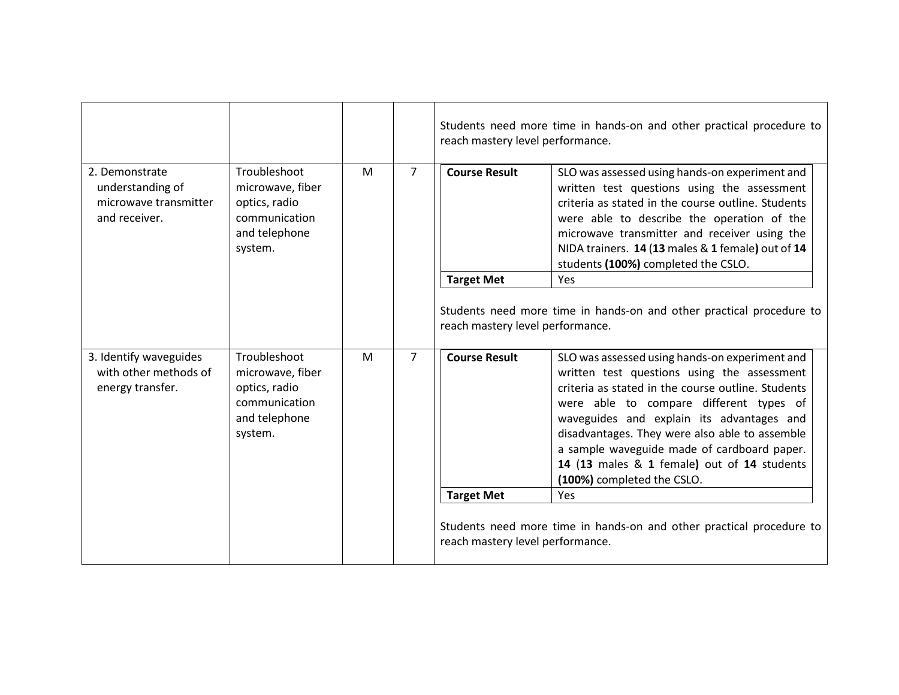|                                                                                                                                                                                     |                |                      | Students need more time in hands-on and other practical procedure to<br>reach mastery level performance.                                                                                                                                                                                                                                                                                                                  |                                                                      |
|-------------------------------------------------------------------------------------------------------------------------------------------------------------------------------------|----------------|----------------------|---------------------------------------------------------------------------------------------------------------------------------------------------------------------------------------------------------------------------------------------------------------------------------------------------------------------------------------------------------------------------------------------------------------------------|----------------------------------------------------------------------|
| Troubleshoot<br>2. Demonstrate<br>M<br>understanding of<br>microwave, fiber<br>microwave transmitter<br>optics, radio<br>communication<br>and receiver.<br>and telephone<br>system. | $\overline{7}$ | <b>Course Result</b> | SLO was assessed using hands-on experiment and<br>written test questions using the assessment<br>criteria as stated in the course outline. Students<br>were able to describe the operation of the<br>microwave transmitter and receiver using the<br>NIDA trainers. 14 (13 males & 1 female) out of 14<br>students (100%) completed the CSLO.                                                                             |                                                                      |
|                                                                                                                                                                                     |                |                      | <b>Target Met</b>                                                                                                                                                                                                                                                                                                                                                                                                         | Yes                                                                  |
|                                                                                                                                                                                     |                |                      | Students need more time in hands-on and other practical procedure to<br>reach mastery level performance.                                                                                                                                                                                                                                                                                                                  |                                                                      |
| 3. Identify waveguides<br>Troubleshoot<br>M<br>with other methods of<br>microwave, fiber<br>energy transfer.<br>optics, radio<br>communication<br>and telephone<br>system.          | $\overline{7}$ | <b>Course Result</b> | SLO was assessed using hands-on experiment and<br>written test questions using the assessment<br>criteria as stated in the course outline. Students<br>were able to compare different types of<br>waveguides and explain its advantages and<br>disadvantages. They were also able to assemble<br>a sample waveguide made of cardboard paper.<br>14 (13 males & 1 female) out of 14 students<br>(100%) completed the CSLO. |                                                                      |
|                                                                                                                                                                                     |                |                      | <b>Target Met</b>                                                                                                                                                                                                                                                                                                                                                                                                         | Yes                                                                  |
|                                                                                                                                                                                     |                |                      | reach mastery level performance.                                                                                                                                                                                                                                                                                                                                                                                          | Students need more time in hands-on and other practical procedure to |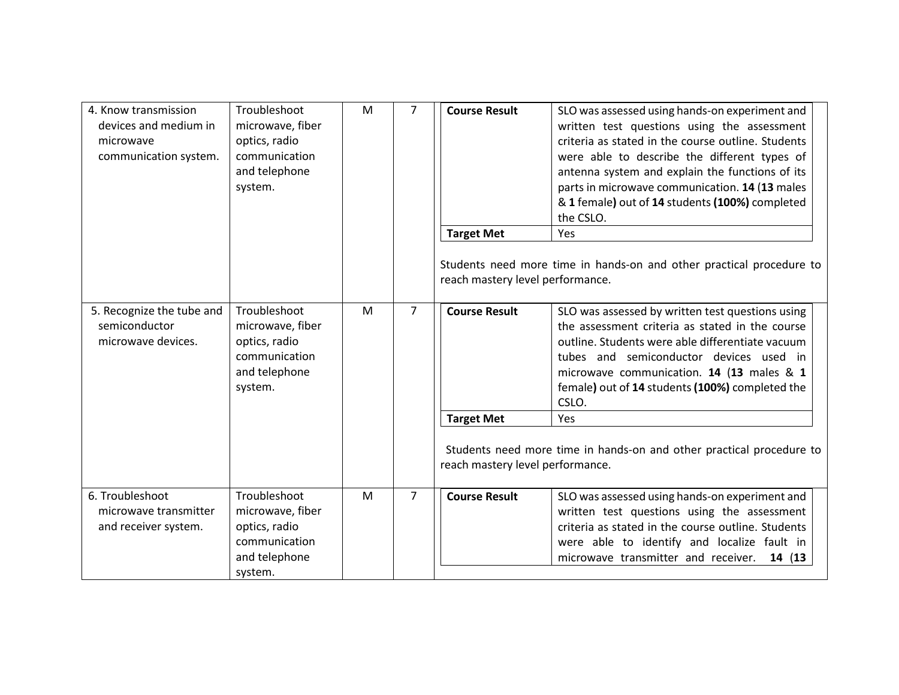| 4. Know transmission<br>devices and medium in<br>microwave<br>communication system. | Troubleshoot<br>microwave, fiber<br>optics, radio<br>communication<br>and telephone<br>system. | M | $\overline{7}$ | <b>Course Result</b>                                                          | SLO was assessed using hands-on experiment and<br>written test questions using the assessment<br>criteria as stated in the course outline. Students<br>were able to describe the different types of<br>antenna system and explain the functions of its<br>parts in microwave communication. 14 (13 males<br>& 1 female) out of 14 students (100%) completed<br>the CSLO.                   |
|-------------------------------------------------------------------------------------|------------------------------------------------------------------------------------------------|---|----------------|-------------------------------------------------------------------------------|--------------------------------------------------------------------------------------------------------------------------------------------------------------------------------------------------------------------------------------------------------------------------------------------------------------------------------------------------------------------------------------------|
|                                                                                     |                                                                                                |   |                | <b>Target Met</b><br>reach mastery level performance.                         | Yes<br>Students need more time in hands-on and other practical procedure to                                                                                                                                                                                                                                                                                                                |
| 5. Recognize the tube and<br>semiconductor<br>microwave devices.                    | Troubleshoot<br>microwave, fiber<br>optics, radio<br>communication<br>and telephone<br>system. | M | $\overline{7}$ | <b>Course Result</b><br><b>Target Met</b><br>reach mastery level performance. | SLO was assessed by written test questions using<br>the assessment criteria as stated in the course<br>outline. Students were able differentiate vacuum<br>tubes and semiconductor devices used in<br>microwave communication. 14 (13 males & 1<br>female) out of 14 students (100%) completed the<br>CSLO.<br>Yes<br>Students need more time in hands-on and other practical procedure to |
| 6. Troubleshoot<br>microwave transmitter<br>and receiver system.                    | Troubleshoot<br>microwave, fiber<br>optics, radio<br>communication<br>and telephone<br>system. | M | $\overline{7}$ | <b>Course Result</b>                                                          | SLO was assessed using hands-on experiment and<br>written test questions using the assessment<br>criteria as stated in the course outline. Students<br>were able to identify and localize fault in<br>microwave transmitter and receiver.<br>14 (13                                                                                                                                        |